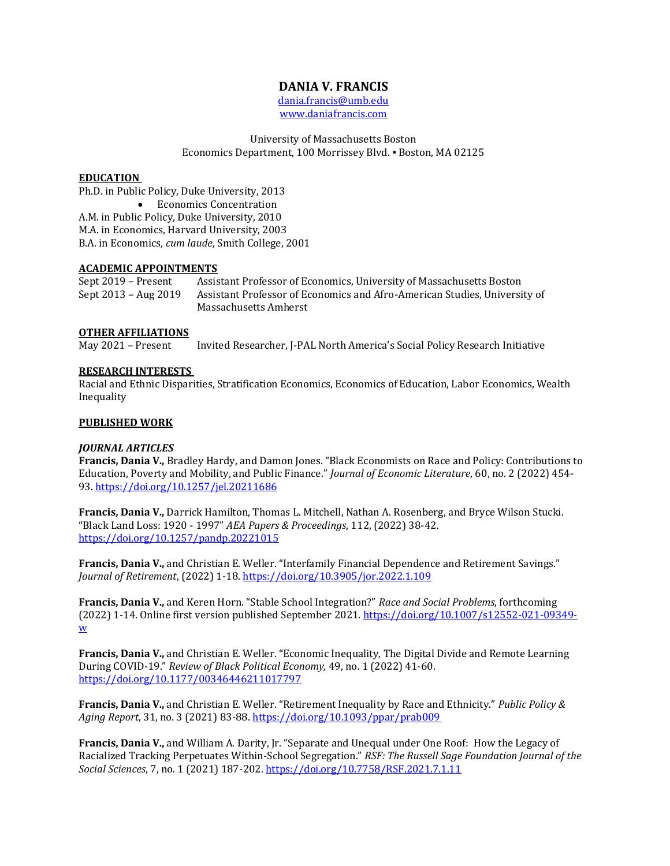# **DANIA V. FRANCIS**

[dania.francis@umb.edu](mailto:dania.francis@umb.edu) [www.daniafrancis.com](http://www.daniafrancis.com/)

University of Massachusetts Boston Economics Department, 100 Morrissey Blvd. ▪ Boston, MA 02125

#### **EDUCATION**

Ph.D. in Public Policy, Duke University, 2013 • Economics Concentration A.M. in Public Policy, Duke University, 2010 M.A. in Economics, Harvard University, 2003 B.A. in Economics, *cum laude*, Smith College, 2001

#### **ACADEMIC APPOINTMENTS**

Sept 2019 – Present Assistant Professor of Economics, University of Massachusetts Boston Sept 2013 – Aug 2019 Assistant Professor of Economics and Afro-American Studies, University of Massachusetts Amherst

#### **OTHER AFFILIATIONS**

May 2021 – Present Invited Researcher, J-PAL North America's Social Policy Research Initiative

#### **RESEARCH INTERESTS**

Racial and Ethnic Disparities, Stratification Economics, Economics of Education, Labor Economics, Wealth Inequality

#### **PUBLISHED WORK**

#### *JOURNAL ARTICLES*

**Francis, Dania V.,** Bradley Hardy, and Damon Jones. "Black Economists on Race and Policy: Contributions to Education, Poverty and Mobility, and Public Finance." *Journal of Economic Literature*, 60, no. 2 (2022) 454- 93. <https://doi.org/10.1257/jel.20211686>

**Francis, Dania V.,** Darrick Hamilton, Thomas L. Mitchell, Nathan A. Rosenberg, and Bryce Wilson Stucki. "Black Land Loss: 1920 - 1997" *AEA Papers & Proceedings*, 112, (2022) 38-42. <https://doi.org/10.1257/pandp.20221015>

**Francis, Dania V.,** and Christian E. Weller. "Interfamily Financial Dependence and Retirement Savings." *Journal of Retirement*, (2022) 1-18.<https://doi.org/10.3905/jor.2022.1.109>

**Francis, Dania V.,** and Keren Horn. "Stable School Integration?" *Race and Social Problems*, forthcoming (2022) 1-14. Online first version published September 2021. [https://doi.org/10.1007/s12552-021-09349](https://doi.org/10.1007/s12552-021-09349-w) [w](https://doi.org/10.1007/s12552-021-09349-w) 

**Francis, Dania V.,** and Christian E. Weller. "Economic Inequality, The Digital Divide and Remote Learning During COVID-19." *Review of Black Political Economy,* 49, no. 1 (2022) 41-60. <https://doi.org/10.1177/00346446211017797>

**Francis, Dania V.,** and Christian E. Weller. "Retirement Inequality by Race and Ethnicity." *Public Policy & Aging Report*, 31, no. 3 (2021) 83-88.<https://doi.org/10.1093/ppar/prab009>

**Francis, Dania V.,** and William A. Darity, Jr. "Separate and Unequal under One Roof: How the Legacy of Racialized Tracking Perpetuates Within-School Segregation." *RSF: The Russell Sage Foundation Journal of the Social Sciences*, 7, no. 1 (2021) 187-202.<https://doi.org/10.7758/RSF.2021.7.1.11>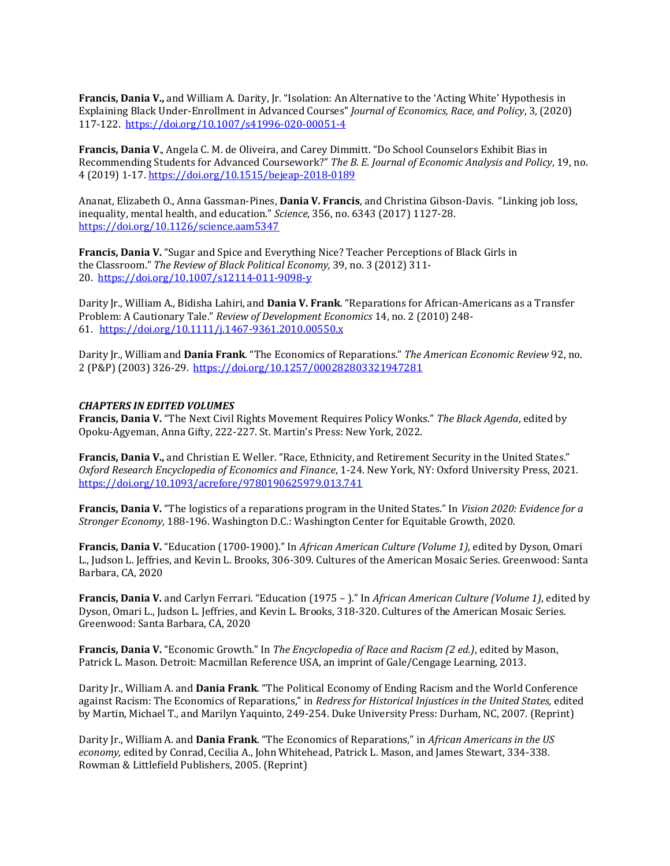**Francis, Dania V.,** and William A. Darity, Jr. "Isolation: An Alternative to the 'Acting White' Hypothesis in Explaining Black Under-Enrollment in Advanced Courses" *Journal of Economics, Race, and Policy*, 3, (2020) 117-122. <https://doi.org/10.1007/s41996-020-00051-4>

**Francis, Dania V**., Angela C. M. de Oliveira, and Carey Dimmitt. "Do School Counselors Exhibit Bias in Recommending Students for Advanced Coursework?" *The B. E. Journal of Economic Analysis and Policy*, 19, no. 4 (2019) 1-17.<https://doi.org/10.1515/bejeap-2018-0189>

Ananat, Elizabeth O., Anna Gassman-Pines, **Dania V. Francis**, and Christina Gibson-Davis.  "Linking job loss, inequality, mental health, and education." *Science*, 356, no. 6343 (2017) 1127-28. <https://doi.org/10.1126/science.aam5347>

**Francis, Dania V.**"Sugar and Spice and Everything Nice? Teacher Perceptions of Black Girls in the Classroom." *The Review of Black Political Economy,*39, no. 3 (2012) 311- 20. [https://doi.org/10.1007/s12114-011-9098-y](https://doi.org/10.1007%2Fs12114-011-9098-y)

Darity Jr., William A., Bidisha Lahiri, and **Dania V. Frank**. "Reparations for African-Americans as a Transfer Problem: A Cautionary Tale." *Review of Development Economics* 14, no. 2 (2010) 248- 61.   <https://doi.org/10.1111/j.1467-9361.2010.00550.x>

Darity Jr., William and **Dania Frank**. "The Economics of Reparations." *The American Economic Review* 92, no. 2 (P&P) (2003) 326-29.  <https://doi.org/10.1257/000282803321947281>

#### *CHAPTERS IN EDITED VOLUMES*

**Francis, Dania V.** "The Next Civil Rights Movement Requires Policy Wonks." *The Black Agenda*, edited by Opoku-Agyeman, Anna Gifty, 222-227. St. Martin's Press: New York, 2022.

**Francis, Dania V.,** and Christian E. Weller. "Race, Ethnicity, and Retirement Security in the United States." *Oxford Research Encyclopedia of Economics and Finance*, 1-24. New York, NY: Oxford University Press, 2021. <https://doi.org/10.1093/acrefore/9780190625979.013.741>

**Francis, Dania V.** "The logistics of a reparations program in the United States." In *Vision 2020: Evidence for a Stronger Economy*, 188-196. Washington D.C.: Washington Center for Equitable Growth, 2020.

**Francis, Dania V.** "Education (1700-1900)." In *African American Culture (Volume 1)*, edited by Dyson, Omari L., Judson L. Jeffries, and Kevin L. Brooks, 306-309. Cultures of the American Mosaic Series. Greenwood: Santa Barbara, CA, 2020

**Francis, Dania V.** and Carlyn Ferrari. "Education (1975 – )." In *African American Culture (Volume 1)*, edited by Dyson, Omari L., Judson L. Jeffries, and Kevin L. Brooks, 318-320. Cultures of the American Mosaic Series. Greenwood: Santa Barbara, CA, 2020

**Francis, Dania V.** "Economic Growth." In *The Encyclopedia of Race and Racism (2 ed.)*, edited by Mason, Patrick L. Mason. Detroit: Macmillan Reference USA, an imprint of Gale/Cengage Learning, 2013.

Darity Jr., William A. and **Dania Frank**. "The Political Economy of Ending Racism and the World Conference against Racism: The Economics of Reparations," in *Redress for Historical Injustices in the United States,* edited by Martin, Michael T., and Marilyn Yaquinto, 249-254. Duke University Press: Durham, NC, 2007. (Reprint)

Darity Jr., William A. and **Dania Frank**. "The Economics of Reparations," in *African Americans in the US economy,* edited by Conrad, Cecilia A., John Whitehead, Patrick L. Mason, and James Stewart, 334-338. Rowman & Littlefield Publishers, 2005. (Reprint)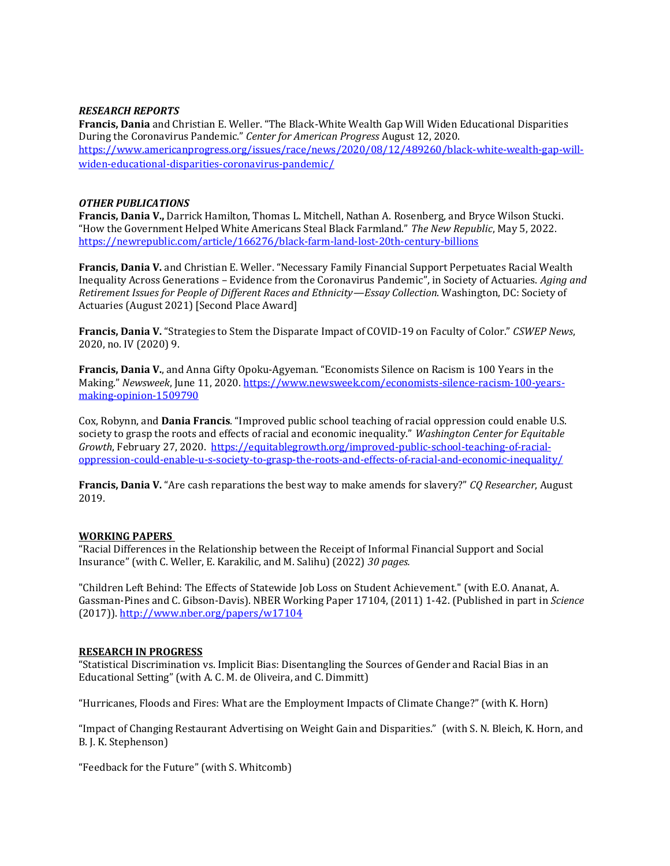#### *RESEARCH REPORTS*

**Francis, Dania** and Christian E. Weller. "The Black-White Wealth Gap Will Widen Educational Disparities During the Coronavirus Pandemic." *Center for American Progress* August 12, 2020. [https://www.americanprogress.org/issues/race/news/2020/08/12/489260/black-white-wealth-gap-will](https://www.americanprogress.org/issues/race/news/2020/08/12/489260/black-white-wealth-gap-will-widen-educational-disparities-coronavirus-pandemic/)[widen-educational-disparities-coronavirus-pandemic/](https://www.americanprogress.org/issues/race/news/2020/08/12/489260/black-white-wealth-gap-will-widen-educational-disparities-coronavirus-pandemic/)

#### *OTHER PUBLICATIONS*

**Francis, Dania V.,** Darrick Hamilton, Thomas L. Mitchell, Nathan A. Rosenberg, and Bryce Wilson Stucki. "How the Government Helped White Americans Steal Black Farmland." *The New Republic*, May 5, 2022. <https://newrepublic.com/article/166276/black-farm-land-lost-20th-century-billions>

**Francis, Dania V.** and Christian E. Weller. "Necessary Family Financial Support Perpetuates Racial Wealth Inequality Across Generations – Evidence from the Coronavirus Pandemic", in Society of Actuaries. *Aging and Retirement Issues for People of Different Races and Ethnicity—Essay Collection*. Washington, DC: Society of Actuaries (August 2021) [Second Place Award]

**Francis, Dania V.** "Strategies to Stem the Disparate Impact of COVID-19 on Faculty of Color." *CSWEP News*, 2020, no. IV (2020) 9.

**Francis, Dania V.**, and Anna Gifty Opoku-Agyeman. "Economists Silence on Racism is 100 Years in the Making." *Newsweek*, June 11, 2020[. https://www.newsweek.com/economists-silence-racism-100-years](https://www.newsweek.com/economists-silence-racism-100-years-making-opinion-1509790)[making-opinion-1509790](https://www.newsweek.com/economists-silence-racism-100-years-making-opinion-1509790) 

Cox, Robynn, and **Dania Francis**. "Improved public school teaching of racial oppression could enable U.S. society to grasp the roots and effects of racial and economic inequality." *Washington Center for Equitable Growth*, February 27, 2020. [https://equitablegrowth.org/improved-public-school-teaching-of-racial](https://equitablegrowth.org/improved-public-school-teaching-of-racial-oppression-could-enable-u-s-society-to-grasp-the-roots-and-effects-of-racial-and-economic-inequality/)[oppression-could-enable-u-s-society-to-grasp-the-roots-and-effects-of-racial-and-economic-inequality/](https://equitablegrowth.org/improved-public-school-teaching-of-racial-oppression-could-enable-u-s-society-to-grasp-the-roots-and-effects-of-racial-and-economic-inequality/) 

**Francis, Dania V.** "Are cash reparations the best way to make amends for slavery?" *CQ Researcher*, August 2019.

#### **WORKING PAPERS**

"Racial Differences in the Relationship between the Receipt of Informal Financial Support and Social Insurance" (with C. Weller, E. Karakilic, and M. Salihu) (2022) *30 pages.*

"Children Left Behind: The Effects of Statewide Job Loss on Student Achievement." (with E.O. Ananat, A. Gassman-Pines and C. Gibson-Davis). NBER Working Paper 17104, (2011) 1-42. (Published in part in *Science* (2017)).<http://www.nber.org/papers/w17104>

### **RESEARCH IN PROGRESS**

"Statistical Discrimination vs. Implicit Bias: Disentangling the Sources of Gender and Racial Bias in an Educational Setting" (with A. C. M. de Oliveira, and C. Dimmitt)

"Hurricanes, Floods and Fires: What are the Employment Impacts of Climate Change?" (with K. Horn)

"Impact of Changing Restaurant Advertising on Weight Gain and Disparities." (with S. N. Bleich, K. Horn, and B. J. K. Stephenson)

"Feedback for the Future" (with S. Whitcomb)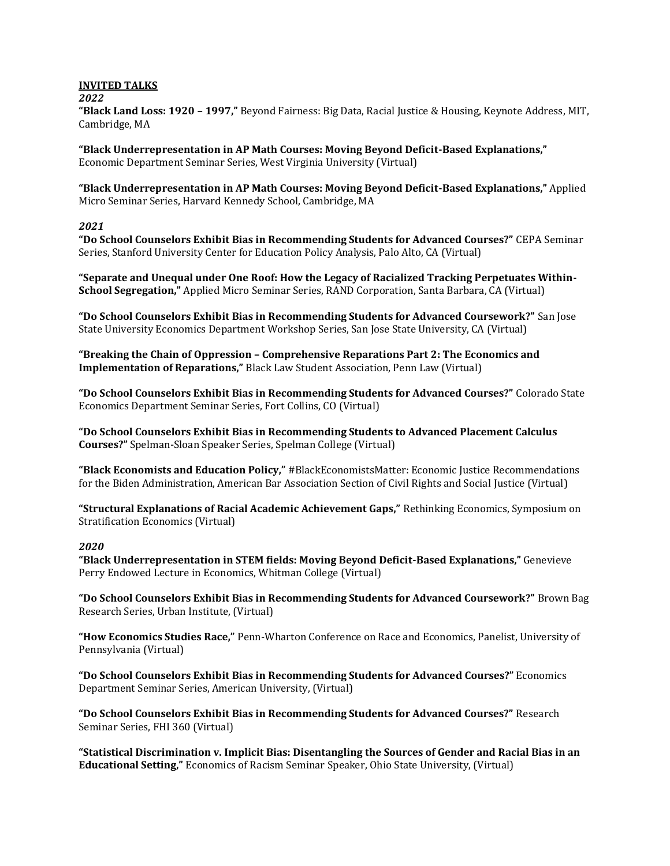#### **INVITED TALKS**

#### *2022*

**"Black Land Loss: 1920 – 1997,"** Beyond Fairness: Big Data, Racial Justice & Housing, Keynote Address, MIT, Cambridge, MA

**"Black Underrepresentation in AP Math Courses: Moving Beyond Deficit-Based Explanations,"** Economic Department Seminar Series, West Virginia University (Virtual)

**"Black Underrepresentation in AP Math Courses: Moving Beyond Deficit-Based Explanations,"** Applied Micro Seminar Series, Harvard Kennedy School, Cambridge, MA

### *2021*

**"Do School Counselors Exhibit Bias in Recommending Students for Advanced Courses?"** CEPA Seminar Series, Stanford University Center for Education Policy Analysis, Palo Alto, CA (Virtual)

**"Separate and Unequal under One Roof: How the Legacy of Racialized Tracking Perpetuates Within-School Segregation,"** Applied Micro Seminar Series, RAND Corporation, Santa Barbara, CA (Virtual)

**"Do School Counselors Exhibit Bias in Recommending Students for Advanced Coursework?"** San Jose State University Economics Department Workshop Series, San Jose State University, CA (Virtual)

**"Breaking the Chain of Oppression – Comprehensive Reparations Part 2: The Economics and Implementation of Reparations,"** Black Law Student Association, Penn Law (Virtual)

**"Do School Counselors Exhibit Bias in Recommending Students for Advanced Courses?"** Colorado State Economics Department Seminar Series, Fort Collins, CO (Virtual)

**"Do School Counselors Exhibit Bias in Recommending Students to Advanced Placement Calculus Courses?"** Spelman-Sloan Speaker Series, Spelman College (Virtual)

**"Black Economists and Education Policy,"** #BlackEconomistsMatter: Economic Justice Recommendations for the Biden Administration, American Bar Association Section of Civil Rights and Social Justice (Virtual)

**"Structural Explanations of Racial Academic Achievement Gaps,"** Rethinking Economics, Symposium on Stratification Economics (Virtual)

#### *2020*

**"Black Underrepresentation in STEM fields: Moving Beyond Deficit-Based Explanations,"** Genevieve Perry Endowed Lecture in Economics, Whitman College (Virtual)

**"Do School Counselors Exhibit Bias in Recommending Students for Advanced Coursework?"** Brown Bag Research Series, Urban Institute, (Virtual)

**"How Economics Studies Race,"** Penn-Wharton Conference on Race and Economics, Panelist, University of Pennsylvania (Virtual)

**"Do School Counselors Exhibit Bias in Recommending Students for Advanced Courses?"** Economics Department Seminar Series, American University, (Virtual)

**"Do School Counselors Exhibit Bias in Recommending Students for Advanced Courses?"** Research Seminar Series, FHI 360 (Virtual)

**"Statistical Discrimination v. Implicit Bias: Disentangling the Sources of Gender and Racial Bias in an Educational Setting,"** Economics of Racism Seminar Speaker, Ohio State University, (Virtual)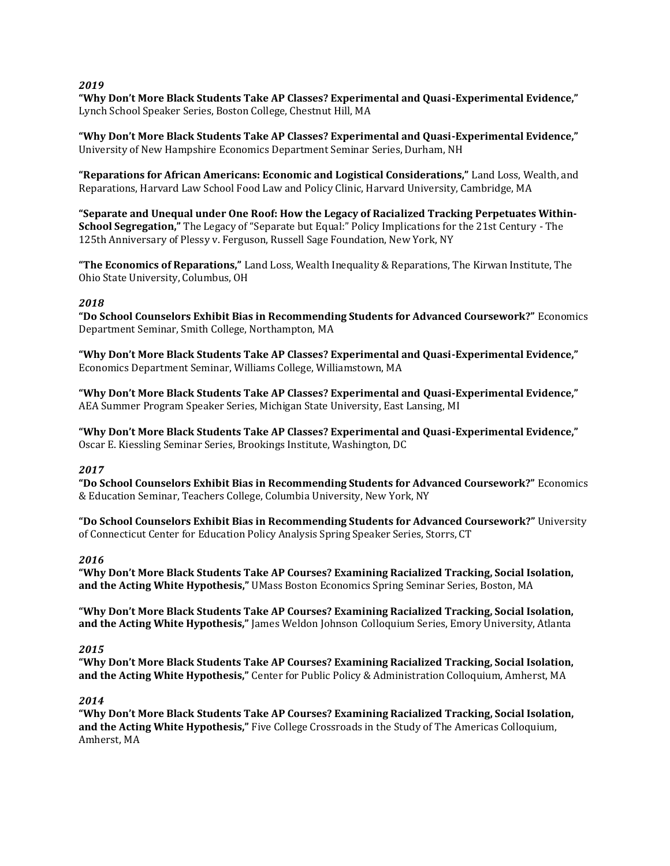## *2019*

**"Why Don't More Black Students Take AP Classes? Experimental and Quasi-Experimental Evidence,"** Lynch School Speaker Series, Boston College, Chestnut Hill, MA

**"Why Don't More Black Students Take AP Classes? Experimental and Quasi-Experimental Evidence,"** University of New Hampshire Economics Department Seminar Series, Durham, NH

**"Reparations for African Americans: Economic and Logistical Considerations,"** Land Loss, Wealth, and Reparations, Harvard Law School Food Law and Policy Clinic, Harvard University, Cambridge, MA

**"Separate and Unequal under One Roof: How the Legacy of Racialized Tracking Perpetuates Within-School Segregation,"** The Legacy of "Separate but Equal:" Policy Implications for the 21st Century - The 125th Anniversary of Plessy v. Ferguson, Russell Sage Foundation, New York, NY

**"The Economics of Reparations,"** Land Loss, Wealth Inequality & Reparations, The Kirwan Institute, The Ohio State University, Columbus, OH

# *2018*

**"Do School Counselors Exhibit Bias in Recommending Students for Advanced Coursework?"** Economics Department Seminar, Smith College, Northampton, MA

**"Why Don't More Black Students Take AP Classes? Experimental and Quasi-Experimental Evidence,"** Economics Department Seminar, Williams College, Williamstown, MA

**"Why Don't More Black Students Take AP Classes? Experimental and Quasi-Experimental Evidence,"** AEA Summer Program Speaker Series, Michigan State University, East Lansing, MI

**"Why Don't More Black Students Take AP Classes? Experimental and Quasi-Experimental Evidence,"** Oscar E. Kiessling Seminar Series, Brookings Institute, Washington, DC

# *2017*

**"Do School Counselors Exhibit Bias in Recommending Students for Advanced Coursework?"** Economics & Education Seminar, Teachers College, Columbia University, New York, NY

**"Do School Counselors Exhibit Bias in Recommending Students for Advanced Coursework?"** University of Connecticut Center for Education Policy Analysis Spring Speaker Series, Storrs, CT

### *2016*

**"Why Don't More Black Students Take AP Courses? Examining Racialized Tracking, Social Isolation, and the Acting White Hypothesis,"** UMass Boston Economics Spring Seminar Series, Boston, MA

**"Why Don't More Black Students Take AP Courses? Examining Racialized Tracking, Social Isolation, and the Acting White Hypothesis,"** James Weldon Johnson Colloquium Series, Emory University, Atlanta

### *2015*

**"Why Don't More Black Students Take AP Courses? Examining Racialized Tracking, Social Isolation, and the Acting White Hypothesis,"** Center for Public Policy & Administration Colloquium, Amherst, MA

### *2014*

**"Why Don't More Black Students Take AP Courses? Examining Racialized Tracking, Social Isolation, and the Acting White Hypothesis,"** Five College Crossroads in the Study of The Americas Colloquium, Amherst, MA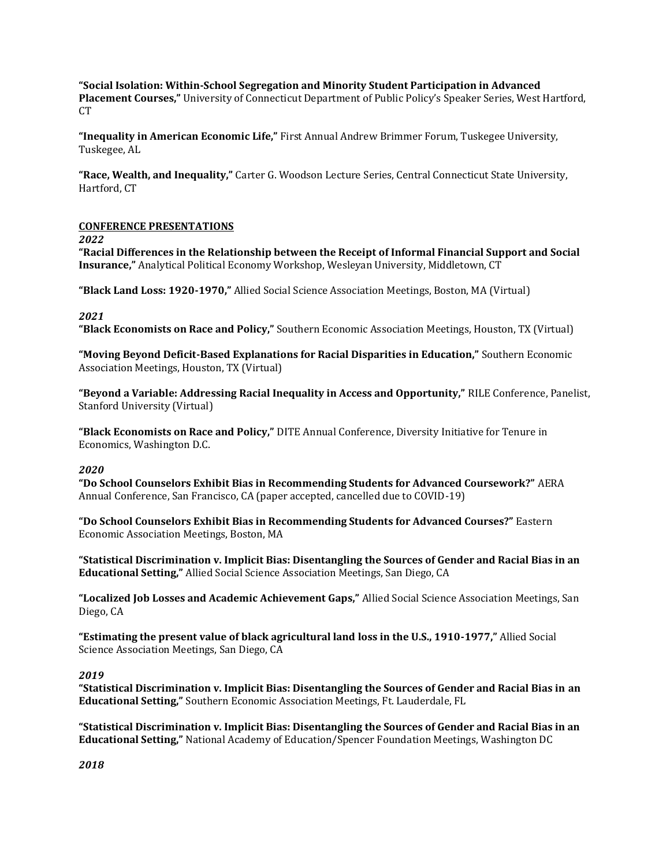**"Social Isolation: Within-School Segregation and Minority Student Participation in Advanced Placement Courses,"** University of Connecticut Department of Public Policy's Speaker Series, West Hartford, CT

**"Inequality in American Economic Life,"** First Annual Andrew Brimmer Forum, Tuskegee University, Tuskegee, AL

**"Race, Wealth, and Inequality,"** Carter G. Woodson Lecture Series, Central Connecticut State University, Hartford, CT

### **CONFERENCE PRESENTATIONS**

*2022*

**"Racial Differences in the Relationship between the Receipt of Informal Financial Support and Social Insurance,"** Analytical Political Economy Workshop, Wesleyan University, Middletown, CT

**"Black Land Loss: 1920-1970,"** Allied Social Science Association Meetings, Boston, MA (Virtual)

### *2021*

**"Black Economists on Race and Policy,"** Southern Economic Association Meetings, Houston, TX (Virtual)

**"Moving Beyond Deficit-Based Explanations for Racial Disparities in Education,"** Southern Economic Association Meetings, Houston, TX (Virtual)

**"Beyond a Variable: Addressing Racial Inequality in Access and Opportunity,"** RILE Conference, Panelist, Stanford University (Virtual)

**"Black Economists on Race and Policy,"** DITE Annual Conference, Diversity Initiative for Tenure in Economics, Washington D.C.

### *2020*

**"Do School Counselors Exhibit Bias in Recommending Students for Advanced Coursework?"** AERA Annual Conference, San Francisco, CA (paper accepted, cancelled due to COVID-19)

**"Do School Counselors Exhibit Bias in Recommending Students for Advanced Courses?"** Eastern Economic Association Meetings, Boston, MA

**"Statistical Discrimination v. Implicit Bias: Disentangling the Sources of Gender and Racial Bias in an Educational Setting,"** Allied Social Science Association Meetings, San Diego, CA

**"Localized Job Losses and Academic Achievement Gaps,"** Allied Social Science Association Meetings, San Diego, CA

**"Estimating the present value of black agricultural land loss in the U.S., 1910-1977,"** Allied Social Science Association Meetings, San Diego, CA

### *2019*

**"Statistical Discrimination v. Implicit Bias: Disentangling the Sources of Gender and Racial Bias in an Educational Setting,"** Southern Economic Association Meetings, Ft. Lauderdale, FL

**"Statistical Discrimination v. Implicit Bias: Disentangling the Sources of Gender and Racial Bias in an Educational Setting,"** National Academy of Education/Spencer Foundation Meetings, Washington DC

*2018*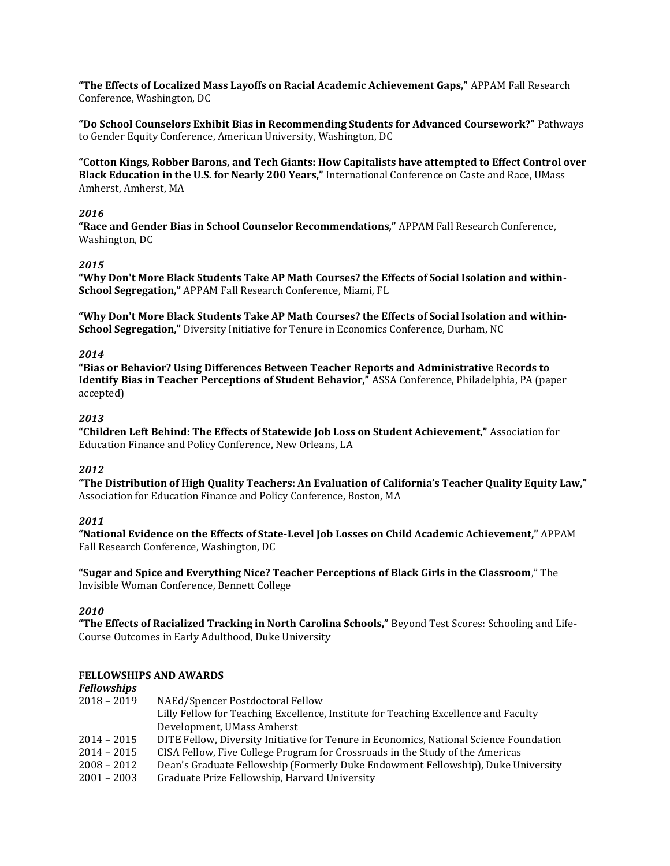**"The Effects of Localized Mass Layoffs on Racial Academic Achievement Gaps,"** APPAM Fall Research Conference, Washington, DC

**"Do School Counselors Exhibit Bias in Recommending Students for Advanced Coursework?"** Pathways to Gender Equity Conference, American University, Washington, DC

**"Cotton Kings, Robber Barons, and Tech Giants: How Capitalists have attempted to Effect Control over Black Education in the U.S. for Nearly 200 Years,"** International Conference on Caste and Race, UMass Amherst, Amherst, MA

## *2016*

**"Race and Gender Bias in School Counselor Recommendations,"** APPAM Fall Research Conference, Washington, DC

# *2015*

**"Why Don't More Black Students Take AP Math Courses? the Effects of Social Isolation and within-School Segregation,"** APPAM Fall Research Conference, Miami, FL

**"Why Don't More Black Students Take AP Math Courses? the Effects of Social Isolation and within-School Segregation,"** Diversity Initiative for Tenure in Economics Conference, Durham, NC

# *2014*

**"Bias or Behavior? Using Differences Between Teacher Reports and Administrative Records to Identify Bias in Teacher Perceptions of Student Behavior,"** ASSA Conference, Philadelphia, PA (paper accepted)

# *2013*

**"Children Left Behind: The Effects of Statewide Job Loss on Student Achievement,"** Association for Education Finance and Policy Conference, New Orleans, LA

# *2012*

**"The Distribution of High Quality Teachers: An Evaluation of California's Teacher Quality Equity Law,"** Association for Education Finance and Policy Conference, Boston, MA

### *2011*

**"National Evidence on the Effects of State-Level Job Losses on Child Academic Achievement,"** APPAM Fall Research Conference, Washington, DC

**"Sugar and Spice and Everything Nice? Teacher Perceptions of Black Girls in the Classroom**," The Invisible Woman Conference, Bennett College

### *2010*

**"The Effects of Racialized Tracking in North Carolina Schools,"** Beyond Test Scores: Schooling and Life-Course Outcomes in Early Adulthood, Duke University

### **FELLOWSHIPS AND AWARDS**

| Fellowships   |                                                                                        |
|---------------|----------------------------------------------------------------------------------------|
| $2018 - 2019$ | NAEd/Spencer Postdoctoral Fellow                                                       |
|               | Lilly Fellow for Teaching Excellence, Institute for Teaching Excellence and Faculty    |
|               | Development, UMass Amherst                                                             |
| 2014 – 2015   | DITE Fellow, Diversity Initiative for Tenure in Economics, National Science Foundation |
| 2014 – 2015   | CISA Fellow, Five College Program for Crossroads in the Study of the Americas          |
| $2008 - 2012$ | Dean's Graduate Fellowship (Formerly Duke Endowment Fellowship), Duke University       |
| $2001 - 2003$ | Graduate Prize Fellowship, Harvard University                                          |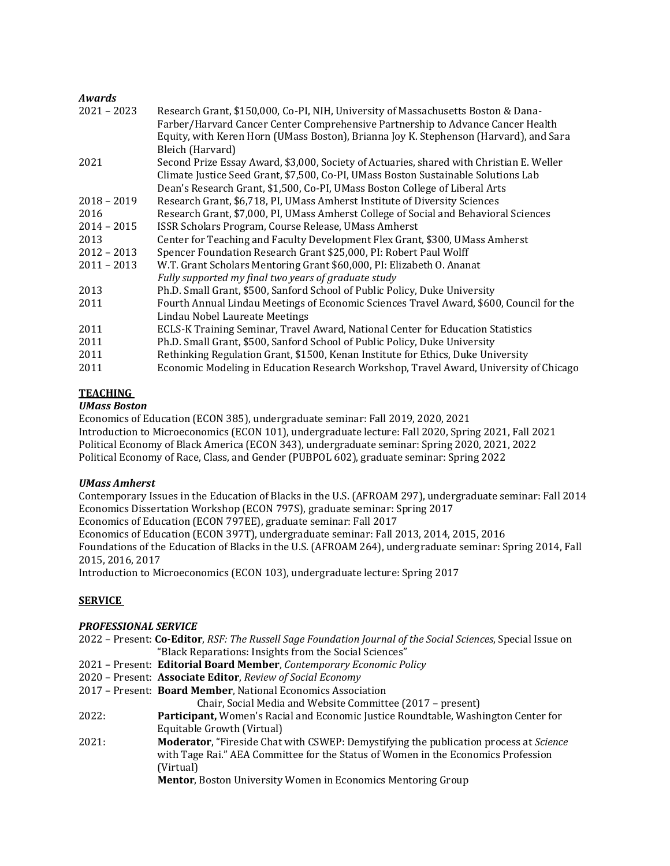# *Awards*

| $2021 - 2023$ | Research Grant, \$150,000, Co-PI, NIH, University of Massachusetts Boston & Dana-                                                                                                            |
|---------------|----------------------------------------------------------------------------------------------------------------------------------------------------------------------------------------------|
|               | Farber/Harvard Cancer Center Comprehensive Partnership to Advance Cancer Health<br>Equity, with Keren Horn (UMass Boston), Brianna Joy K. Stephenson (Harvard), and Sara<br>Bleich (Harvard) |
| 2021          | Second Prize Essay Award, \$3,000, Society of Actuaries, shared with Christian E. Weller                                                                                                     |
|               | Climate Justice Seed Grant, \$7,500, Co-PI, UMass Boston Sustainable Solutions Lab                                                                                                           |
|               | Dean's Research Grant, \$1,500, Co-PI, UMass Boston College of Liberal Arts                                                                                                                  |
| $2018 - 2019$ | Research Grant, \$6,718, PI, UMass Amherst Institute of Diversity Sciences                                                                                                                   |
| 2016          | Research Grant, \$7,000, PI, UMass Amherst College of Social and Behavioral Sciences                                                                                                         |
| $2014 - 2015$ | ISSR Scholars Program, Course Release, UMass Amherst                                                                                                                                         |
| 2013          | Center for Teaching and Faculty Development Flex Grant, \$300, UMass Amherst                                                                                                                 |
| $2012 - 2013$ | Spencer Foundation Research Grant \$25,000, PI: Robert Paul Wolff                                                                                                                            |
| $2011 - 2013$ | W.T. Grant Scholars Mentoring Grant \$60,000, PI: Elizabeth O. Ananat                                                                                                                        |
|               | Fully supported my final two years of graduate study                                                                                                                                         |
| 2013          | Ph.D. Small Grant, \$500, Sanford School of Public Policy, Duke University                                                                                                                   |
| 2011          | Fourth Annual Lindau Meetings of Economic Sciences Travel Award, \$600, Council for the                                                                                                      |
|               | Lindau Nobel Laureate Meetings                                                                                                                                                               |
| 2011          | ECLS-K Training Seminar, Travel Award, National Center for Education Statistics                                                                                                              |
| 2011          | Ph.D. Small Grant, \$500, Sanford School of Public Policy, Duke University                                                                                                                   |
| 2011          | Rethinking Regulation Grant, \$1500, Kenan Institute for Ethics, Duke University                                                                                                             |
| 2011          | Economic Modeling in Education Research Workshop, Travel Award, University of Chicago                                                                                                        |

# **TEACHING**

# *UMass Boston*

Economics of Education (ECON 385), undergraduate seminar: Fall 2019, 2020, 2021 Introduction to Microeconomics (ECON 101), undergraduate lecture: Fall 2020, Spring 2021, Fall 2021 Political Economy of Black America (ECON 343), undergraduate seminar: Spring 2020, 2021, 2022 Political Economy of Race, Class, and Gender (PUBPOL 602), graduate seminar: Spring 2022

### *UMass Amherst*

Contemporary Issues in the Education of Blacks in the U.S. (AFROAM 297), undergraduate seminar: Fall 2014 Economics Dissertation Workshop (ECON 797S), graduate seminar: Spring 2017 Economics of Education (ECON 797EE), graduate seminar: Fall 2017 Economics of Education (ECON 397T), undergraduate seminar: Fall 2013, 2014, 2015, 2016 Foundations of the Education of Blacks in the U.S. (AFROAM 264), undergraduate seminar: Spring 2014, Fall 2015, 2016, 2017 Introduction to Microeconomics (ECON 103), undergraduate lecture: Spring 2017

# **SERVICE**

### *PROFESSIONAL SERVICE*

|       | 2022 - Present: Co-Editor, RSF: The Russell Sage Foundation Journal of the Social Sciences, Special Issue on |
|-------|--------------------------------------------------------------------------------------------------------------|
|       | "Black Reparations: Insights from the Social Sciences"                                                       |
|       | 2021 - Present: Editorial Board Member, Contemporary Economic Policy                                         |
|       | 2020 - Present: Associate Editor, Review of Social Economy                                                   |
|       | 2017 - Present: Board Member, National Economics Association                                                 |
|       | Chair, Social Media and Website Committee (2017 - present)                                                   |
| 2022: | <b>Participant, Women's Racial and Economic Justice Roundtable, Washington Center for</b>                    |
|       | Equitable Growth (Virtual)                                                                                   |
| 2021: | <b>Moderator</b> , "Fireside Chat with CSWEP: Demystifying the publication process at Science                |
|       | with Tage Rai." AEA Committee for the Status of Women in the Economics Profession                            |
|       | (Virtual)                                                                                                    |
|       | <b>Mentor, Boston University Women in Economics Mentoring Group</b>                                          |
|       |                                                                                                              |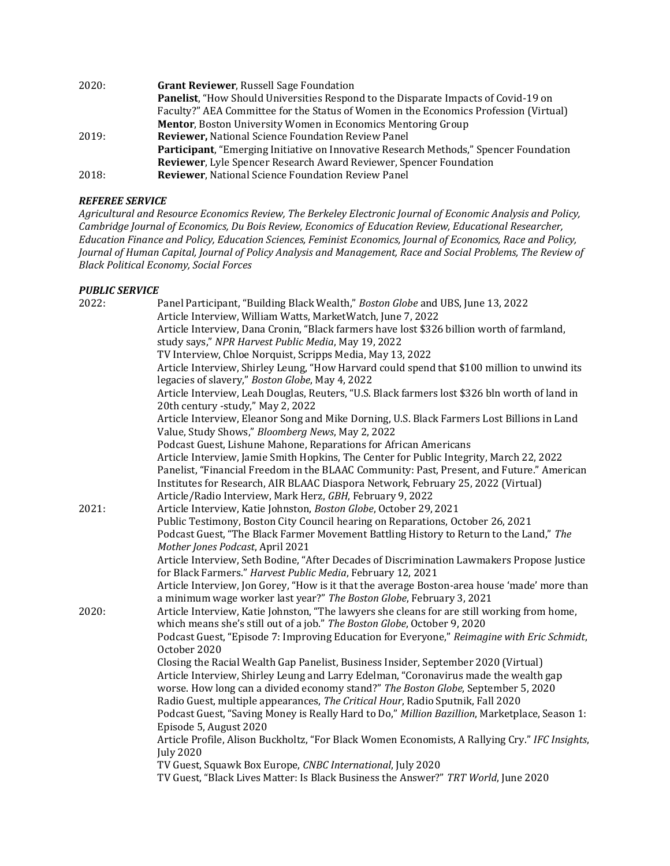| 2020: | <b>Grant Reviewer, Russell Sage Foundation</b>                                        |
|-------|---------------------------------------------------------------------------------------|
|       | Panelist, "How Should Universities Respond to the Disparate Impacts of Covid-19 on    |
|       | Faculty?" AEA Committee for the Status of Women in the Economics Profession (Virtual) |
|       | <b>Mentor, Boston University Women in Economics Mentoring Group</b>                   |
| 2019: | <b>Reviewer, National Science Foundation Review Panel</b>                             |
|       | Participant, "Emerging Initiative on Innovative Research Methods," Spencer Foundation |
|       | <b>Reviewer, Lyle Spencer Research Award Reviewer, Spencer Foundation</b>             |
| 2018: | <b>Reviewer, National Science Foundation Review Panel</b>                             |

# *REFEREE SERVICE*

*Agricultural and Resource Economics Review, The Berkeley Electronic Journal of Economic Analysis and Policy, Cambridge Journal of Economics, Du Bois Review, Economics of Education Review, Educational Researcher, Education Finance and Policy, Education Sciences, Feminist Economics, Journal of Economics, Race and Policy, Journal of Human Capital, Journal of Policy Analysis and Management, Race and Social Problems, The Review of Black Political Economy, Social Forces*

# *PUBLIC SERVICE*

| 2022: | Panel Participant, "Building Black Wealth," Boston Globe and UBS, June 13, 2022                                                                                         |
|-------|-------------------------------------------------------------------------------------------------------------------------------------------------------------------------|
|       | Article Interview, William Watts, MarketWatch, June 7, 2022                                                                                                             |
|       | Article Interview, Dana Cronin, "Black farmers have lost \$326 billion worth of farmland,<br>study says," NPR Harvest Public Media, May 19, 2022                        |
|       | TV Interview, Chloe Norquist, Scripps Media, May 13, 2022                                                                                                               |
|       | Article Interview, Shirley Leung, "How Harvard could spend that \$100 million to unwind its                                                                             |
|       | legacies of slavery," Boston Globe, May 4, 2022                                                                                                                         |
|       | Article Interview, Leah Douglas, Reuters, "U.S. Black farmers lost \$326 bln worth of land in                                                                           |
|       | 20th century -study," May 2, 2022                                                                                                                                       |
|       | Article Interview, Eleanor Song and Mike Dorning, U.S. Black Farmers Lost Billions in Land                                                                              |
|       | Value, Study Shows," Bloomberg News, May 2, 2022                                                                                                                        |
|       | Podcast Guest, Lishune Mahone, Reparations for African Americans                                                                                                        |
|       | Article Interview, Jamie Smith Hopkins, The Center for Public Integrity, March 22, 2022                                                                                 |
|       | Panelist, "Financial Freedom in the BLAAC Community: Past, Present, and Future." American                                                                               |
|       | Institutes for Research, AIR BLAAC Diaspora Network, February 25, 2022 (Virtual)                                                                                        |
|       | Article/Radio Interview, Mark Herz, GBH, February 9, 2022                                                                                                               |
| 2021: | Article Interview, Katie Johnston, Boston Globe, October 29, 2021                                                                                                       |
|       | Public Testimony, Boston City Council hearing on Reparations, October 26, 2021                                                                                          |
|       | Podcast Guest, "The Black Farmer Movement Battling History to Return to the Land," The                                                                                  |
|       | Mother Jones Podcast, April 2021                                                                                                                                        |
|       | Article Interview, Seth Bodine, "After Decades of Discrimination Lawmakers Propose Justice                                                                              |
|       | for Black Farmers." Harvest Public Media, February 12, 2021                                                                                                             |
|       | Article Interview, Jon Gorey, "How is it that the average Boston-area house 'made' more than<br>a minimum wage worker last year?" The Boston Globe, February 3, 2021    |
| 2020: | Article Interview, Katie Johnston, "The lawyers she cleans for are still working from home,<br>which means she's still out of a job." The Boston Globe, October 9, 2020 |
|       | Podcast Guest, "Episode 7: Improving Education for Everyone," Reimagine with Eric Schmidt,<br>October 2020                                                              |
|       | Closing the Racial Wealth Gap Panelist, Business Insider, September 2020 (Virtual)                                                                                      |
|       | Article Interview, Shirley Leung and Larry Edelman, "Coronavirus made the wealth gap                                                                                    |
|       | worse. How long can a divided economy stand?" The Boston Globe, September 5, 2020                                                                                       |
|       | Radio Guest, multiple appearances, The Critical Hour, Radio Sputnik, Fall 2020                                                                                          |
|       | Podcast Guest, "Saving Money is Really Hard to Do," Million Bazillion, Marketplace, Season 1:                                                                           |
|       | Episode 5, August 2020                                                                                                                                                  |
|       | Article Profile, Alison Buckholtz, "For Black Women Economists, A Rallying Cry." IFC Insights,                                                                          |
|       | <b>July 2020</b>                                                                                                                                                        |
|       | TV Guest, Squawk Box Europe, CNBC International, July 2020                                                                                                              |
|       | TV Guest, "Black Lives Matter: Is Black Business the Answer?" TRT World, June 2020                                                                                      |